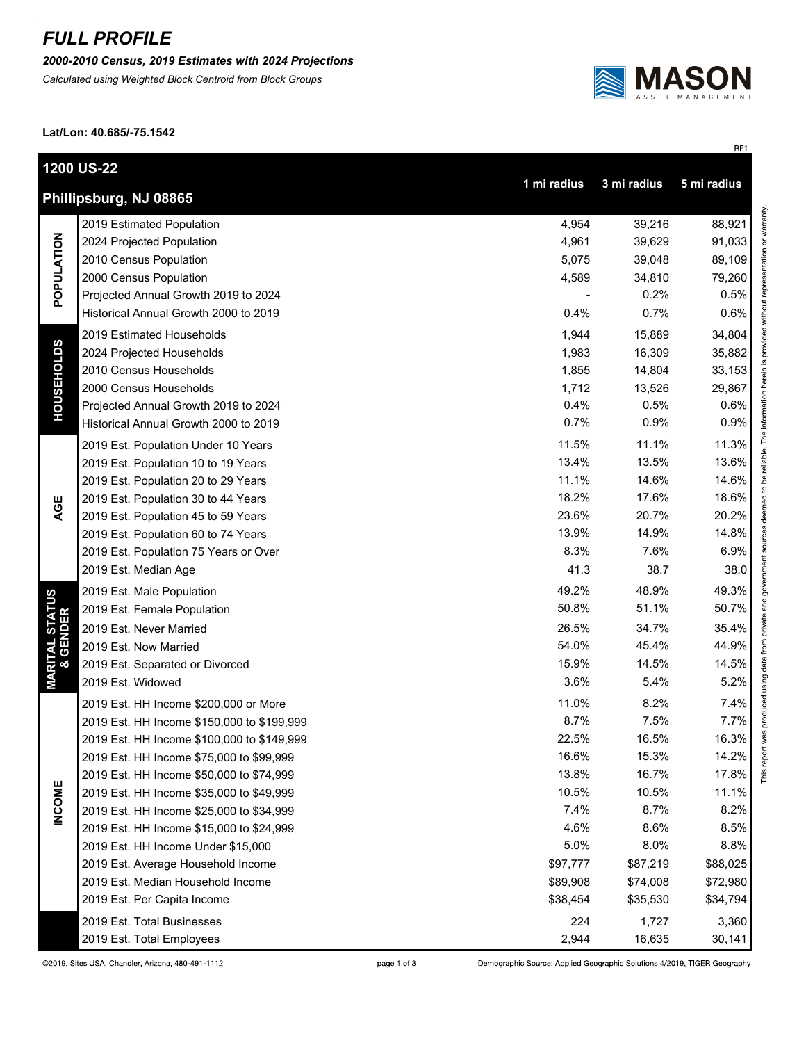## *FULL PROFILE*

*2000-2010 Census, 2019 Estimates with 2024 Projections*

*Calculated using Weighted Block Centroid from Block Groups*



RF1

**Lat/Lon: 40.685/-75.1542**

|                                        | <b>1200 US-22</b>                          | 1 mi radius | 3 mi radius | 5 mi radius          |
|----------------------------------------|--------------------------------------------|-------------|-------------|----------------------|
|                                        | Phillipsburg, NJ 08865                     |             |             |                      |
| POPULATION                             | 2019 Estimated Population                  | 4,954       | 39,216      | 88,921               |
|                                        | 2024 Projected Population                  | 4,961       | 39,629      | 91,033               |
|                                        | 2010 Census Population                     | 5,075       | 39,048      | 89,109               |
|                                        | 2000 Census Population                     | 4,589       | 34,810      | 79,260               |
|                                        | Projected Annual Growth 2019 to 2024       |             | 0.2%        | 0.5%                 |
|                                        | Historical Annual Growth 2000 to 2019      | 0.4%        | 0.7%        | 0.6%                 |
| <b>HOUSEHOLDS</b>                      | 2019 Estimated Households                  | 1,944       | 15,889      | 34,804               |
|                                        | 2024 Projected Households                  | 1,983       | 16,309      | 35,882               |
|                                        | 2010 Census Households                     | 1,855       | 14,804      | 33,153               |
|                                        | 2000 Census Households                     | 1,712       | 13,526      | 29,867               |
|                                        | Projected Annual Growth 2019 to 2024       | 0.4%        | 0.5%        | 0.6%                 |
|                                        | Historical Annual Growth 2000 to 2019      | 0.7%        | 0.9%        | 0.9%                 |
|                                        | 2019 Est. Population Under 10 Years        | 11.5%       | 11.1%       | 11.3%                |
|                                        | 2019 Est. Population 10 to 19 Years        | 13.4%       | 13.5%       | 13.6%                |
|                                        | 2019 Est. Population 20 to 29 Years        | 11.1%       | 14.6%       | 14.6%                |
|                                        | 2019 Est. Population 30 to 44 Years        | 18.2%       | 17.6%       | 18.6%                |
| AGE                                    | 2019 Est. Population 45 to 59 Years        | 23.6%       | 20.7%       | 20.2%                |
|                                        | 2019 Est. Population 60 to 74 Years        | 13.9%       | 14.9%       | 14.8%                |
|                                        | 2019 Est. Population 75 Years or Over      | 8.3%        | 7.6%        | 6.9%                 |
|                                        | 2019 Est. Median Age                       | 41.3        | 38.7        | 38.0                 |
|                                        | 2019 Est. Male Population                  | 49.2%       | 48.9%       | 49.3%                |
|                                        | 2019 Est. Female Population                | 50.8%       | 51.1%       | 50.7%                |
|                                        | 2019 Est. Never Married                    | 26.5%       | 34.7%       | 35.4%                |
|                                        | 2019 Est. Now Married                      | 54.0%       | 45.4%       | 44.9%                |
|                                        | 2019 Est. Separated or Divorced            | 15.9%       | 14.5%       | 14.5%                |
| <b>MARITAL STATUS<br/>&amp; GENDER</b> | 2019 Est. Widowed                          | 3.6%        | 5.4%        | 5.2%                 |
|                                        | 2019 Est. HH Income \$200,000 or More      | 11.0%       | 8.2%        | 7.4%                 |
|                                        | 2019 Est. HH Income \$150,000 to \$199,999 | 8.7%        | 7.5%        | 7.7%                 |
|                                        | 2019 Est. HH Income \$100,000 to \$149,999 | 22.5%       | 16.5%       | 16.3%                |
|                                        | 2019 Est. HH Income \$75,000 to \$99,999   | 16.6%       | 15.3%       | 14.2%                |
| <b>INCOME</b>                          | 2019 Est. HH Income \$50,000 to \$74,999   | 13.8%       | 16.7%       | <b>This</b><br>17.8% |
|                                        | 2019 Est. HH Income \$35,000 to \$49,999   | 10.5%       | 10.5%       | 11.1%                |
|                                        | 2019 Est. HH Income \$25,000 to \$34,999   | 7.4%        | 8.7%        | 8.2%                 |
|                                        | 2019 Est. HH Income \$15,000 to \$24,999   | 4.6%        | 8.6%        | 8.5%                 |
|                                        | 2019 Est. HH Income Under \$15,000         | 5.0%        | 8.0%        | 8.8%                 |
|                                        | 2019 Est. Average Household Income         | \$97,777    | \$87,219    | \$88,025             |
|                                        | 2019 Est. Median Household Income          | \$89,908    | \$74,008    | \$72,980             |
|                                        | 2019 Est. Per Capita Income                | \$38,454    | \$35,530    | \$34,794             |
|                                        | 2019 Est. Total Businesses                 | 224         | 1,727       | 3,360                |
|                                        | 2019 Est. Total Employees                  | 2,944       | 16,635      | 30,141               |

page 1 of 3

Demographic Source: Applied Geographic Solutions 4/2019, TIGER Geography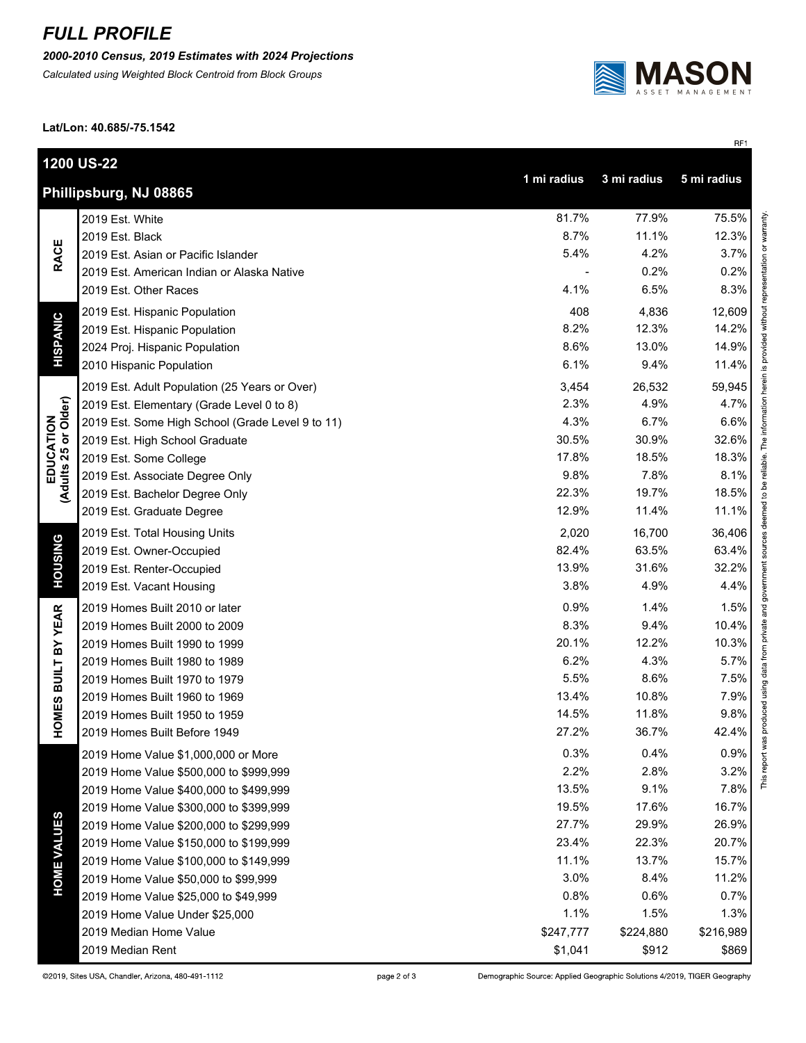## *FULL PROFILE*

*2000-2010 Census, 2019 Estimates with 2024 Projections*

*Calculated using Weighted Block Centroid from Block Groups*



RF1

**Lat/Lon: 40.685/-75.1542**

|                                                                     | 1200 US-22                                       |           |           |           |  |  |
|---------------------------------------------------------------------|--------------------------------------------------|-----------|-----------|-----------|--|--|
| 1 mi radius<br>3 mi radius<br>5 mi radius<br>Phillipsburg, NJ 08865 |                                                  |           |           |           |  |  |
|                                                                     | 2019 Est. White                                  | 81.7%     | 77.9%     | 75.5%     |  |  |
| <b>RACE</b>                                                         | 2019 Est. Black                                  | 8.7%      | 11.1%     | 12.3%     |  |  |
|                                                                     | 2019 Est. Asian or Pacific Islander              | 5.4%      | 4.2%      | 3.7%      |  |  |
|                                                                     | 2019 Est. American Indian or Alaska Native       |           | 0.2%      | 0.2%      |  |  |
|                                                                     | 2019 Est. Other Races                            | 4.1%      | 6.5%      | 8.3%      |  |  |
|                                                                     | 2019 Est. Hispanic Population                    | 408       | 4,836     | 12,609    |  |  |
|                                                                     | 2019 Est. Hispanic Population                    | 8.2%      | 12.3%     | 14.2%     |  |  |
| <b>HISPANIC</b>                                                     | 2024 Proj. Hispanic Population                   | 8.6%      | 13.0%     | 14.9%     |  |  |
|                                                                     | 2010 Hispanic Population                         | 6.1%      | 9.4%      | 11.4%     |  |  |
|                                                                     | 2019 Est. Adult Population (25 Years or Over)    | 3,454     | 26,532    | 59,945    |  |  |
|                                                                     | 2019 Est. Elementary (Grade Level 0 to 8)        | 2.3%      | 4.9%      | 4.7%      |  |  |
| or Older)                                                           | 2019 Est. Some High School (Grade Level 9 to 11) | 4.3%      | 6.7%      | 6.6%      |  |  |
| EDUCATION<br>Adults 25 or Old                                       | 2019 Est. High School Graduate                   | 30.5%     | 30.9%     | 32.6%     |  |  |
|                                                                     | 2019 Est. Some College                           | 17.8%     | 18.5%     | 18.3%     |  |  |
|                                                                     | 2019 Est. Associate Degree Only                  | 9.8%      | 7.8%      | 8.1%      |  |  |
|                                                                     | 2019 Est. Bachelor Degree Only                   | 22.3%     | 19.7%     | 18.5%     |  |  |
|                                                                     | 2019 Est. Graduate Degree                        | 12.9%     | 11.4%     | 11.1%     |  |  |
|                                                                     | 2019 Est. Total Housing Units                    | 2,020     | 16,700    | 36,406    |  |  |
|                                                                     | 2019 Est. Owner-Occupied                         | 82.4%     | 63.5%     | 63.4%     |  |  |
| <b>HOUSING</b>                                                      | 2019 Est. Renter-Occupied                        | 13.9%     | 31.6%     | 32.2%     |  |  |
|                                                                     | 2019 Est. Vacant Housing                         | 3.8%      | 4.9%      | 4.4%      |  |  |
|                                                                     | 2019 Homes Built 2010 or later                   | 0.9%      | 1.4%      | 1.5%      |  |  |
| <b>BUILT BY YEAR</b>                                                | 2019 Homes Built 2000 to 2009                    | 8.3%      | 9.4%      | 10.4%     |  |  |
|                                                                     | 2019 Homes Built 1990 to 1999                    | 20.1%     | 12.2%     | 10.3%     |  |  |
|                                                                     | 2019 Homes Built 1980 to 1989                    | 6.2%      | 4.3%      | 5.7%      |  |  |
|                                                                     | 2019 Homes Built 1970 to 1979                    | 5.5%      | 8.6%      | 7.5%      |  |  |
|                                                                     | 2019 Homes Built 1960 to 1969                    | 13.4%     | 10.8%     | 7.9%      |  |  |
| HOMES                                                               | 2019 Homes Built 1950 to 1959                    | 14.5%     | 11.8%     | 9.8%      |  |  |
|                                                                     | 2019 Homes Built Before 1949                     | 27.2%     | 36.7%     | 42.4%     |  |  |
|                                                                     | 2019 Home Value \$1,000,000 or More              | 0.3%      | 0.4%      | 0.9%      |  |  |
|                                                                     | 2019 Home Value \$500,000 to \$999,999           | 2.2%      | 2.8%      | 3.2%      |  |  |
|                                                                     | 2019 Home Value \$400,000 to \$499,999           | 13.5%     | 9.1%      | 7.8%      |  |  |
|                                                                     | 2019 Home Value \$300,000 to \$399,999           | 19.5%     | 17.6%     | 16.7%     |  |  |
|                                                                     | 2019 Home Value \$200,000 to \$299,999           | 27.7%     | 29.9%     | 26.9%     |  |  |
| <b>HOME VALUES</b>                                                  | 2019 Home Value \$150,000 to \$199,999           | 23.4%     | 22.3%     | 20.7%     |  |  |
|                                                                     | 2019 Home Value \$100,000 to \$149,999           | 11.1%     | 13.7%     | 15.7%     |  |  |
|                                                                     | 2019 Home Value \$50,000 to \$99,999             | 3.0%      | 8.4%      | 11.2%     |  |  |
|                                                                     | 2019 Home Value \$25,000 to \$49,999             | 0.8%      | 0.6%      | 0.7%      |  |  |
|                                                                     | 2019 Home Value Under \$25,000                   | 1.1%      | 1.5%      | 1.3%      |  |  |
|                                                                     | 2019 Median Home Value                           | \$247,777 | \$224,880 | \$216,989 |  |  |
|                                                                     | 2019 Median Rent                                 | \$1,041   | \$912     | \$869     |  |  |

Demographic Source: Applied Geographic Solutions 4/2019, TIGER Geography